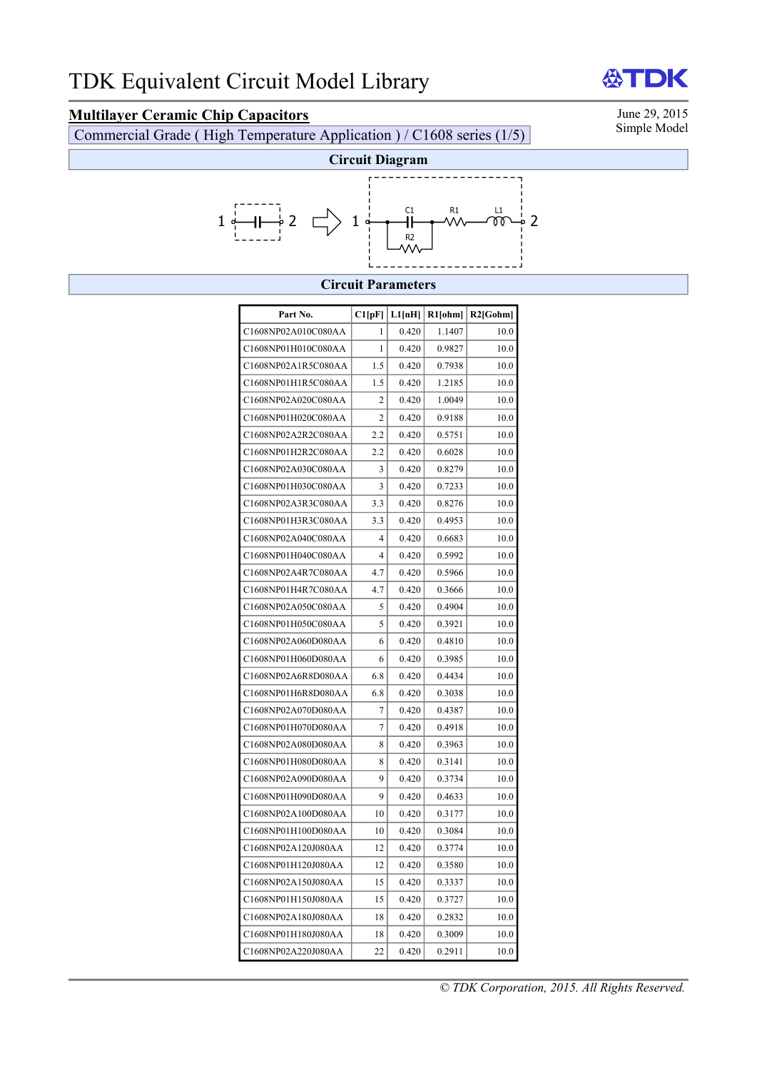# **Multilayer Ceramic Chip Capacitors** June 29, 2015<br>Commercial Grade (High Temperature Application) / C1608 series (1/5) Simple Model

Commercial Grade ( High Temperature Application ) / C1608 series (1/5)



### **Circuit Parameters**

| Part No.            | Cl[pF]         | L1[nH] | R1[ohm] | $R2$ [Gohm] |
|---------------------|----------------|--------|---------|-------------|
| C1608NP02A010C080AA | 1              | 0.420  | 1.1407  | 10.0        |
| C1608NP01H010C080AA | 1              | 0.420  | 0.9827  | 10.0        |
| C1608NP02A1R5C080AA | 1.5            | 0.420  | 0.7938  | 10.0        |
| C1608NP01H1R5C080AA | 1.5            | 0.420  | 1.2185  | 10.0        |
| C1608NP02A020C080AA | $\overline{c}$ | 0.420  | 1.0049  | 10.0        |
| C1608NP01H020C080AA | $\overline{c}$ | 0.420  | 0.9188  | 10.0        |
| C1608NP02A2R2C080AA | 2.2            | 0.420  | 0.5751  | 10.0        |
| C1608NP01H2R2C080AA | 2.2            | 0.420  | 0.6028  | 10.0        |
| C1608NP02A030C080AA | 3              | 0.420  | 0.8279  | 10.0        |
| C1608NP01H030C080AA | 3              | 0.420  | 0.7233  | 10.0        |
| C1608NP02A3R3C080AA | 3.3            | 0.420  | 0.8276  | 10.0        |
| C1608NP01H3R3C080AA | 3.3            | 0.420  | 0.4953  | 10.0        |
| C1608NP02A040C080AA | 4              | 0.420  | 0.6683  | 10.0        |
| C1608NP01H040C080AA | 4              | 0.420  | 0.5992  | 10.0        |
| C1608NP02A4R7C080AA | 4.7            | 0.420  | 0.5966  | 10.0        |
| C1608NP01H4R7C080AA | 4.7            | 0.420  | 0.3666  | 10.0        |
| C1608NP02A050C080AA | 5              | 0.420  | 0.4904  | 10.0        |
| C1608NP01H050C080AA | 5              | 0.420  | 0.3921  | 10.0        |
| C1608NP02A060D080AA | 6              | 0.420  | 0.4810  | 10.0        |
| C1608NP01H060D080AA | 6              | 0.420  | 0.3985  | 10.0        |
| C1608NP02A6R8D080AA | 6.8            | 0.420  | 0.4434  | 10.0        |
| C1608NP01H6R8D080AA | 6.8            | 0.420  | 0.3038  | 10.0        |
| C1608NP02A070D080AA | $\overline{7}$ | 0.420  | 0.4387  | 10.0        |
| C1608NP01H070D080AA | 7              | 0.420  | 0.4918  | 10.0        |
| C1608NP02A080D080AA | 8              | 0.420  | 0.3963  | 10.0        |
| C1608NP01H080D080AA | 8              | 0.420  | 0.3141  | 10.0        |
| C1608NP02A090D080AA | 9              | 0.420  | 0.3734  | 10.0        |
| C1608NP01H090D080AA | 9              | 0.420  | 0.4633  | 10.0        |
| C1608NP02A100D080AA | 10             | 0.420  | 0.3177  | 10.0        |
| C1608NP01H100D080AA | 10             | 0.420  | 0.3084  | 10.0        |
| C1608NP02A120J080AA | 12             | 0.420  | 0.3774  | 10.0        |
| C1608NP01H120J080AA | 12             | 0.420  | 0.3580  | 10.0        |
| C1608NP02A150J080AA | 15             | 0.420  | 0.3337  | 10.0        |
| C1608NP01H150J080AA | 15             | 0.420  | 0.3727  | 10.0        |
| C1608NP02A180J080AA | 18             | 0.420  | 0.2832  | 10.0        |
| C1608NP01H180J080AA | 18             | 0.420  | 0.3009  | 10.0        |
| C1608NP02A220J080AA | 22             | 0.420  | 0.2911  | 10.0        |

*© TDK Corporation, 2015. All Rights Reserved.* 

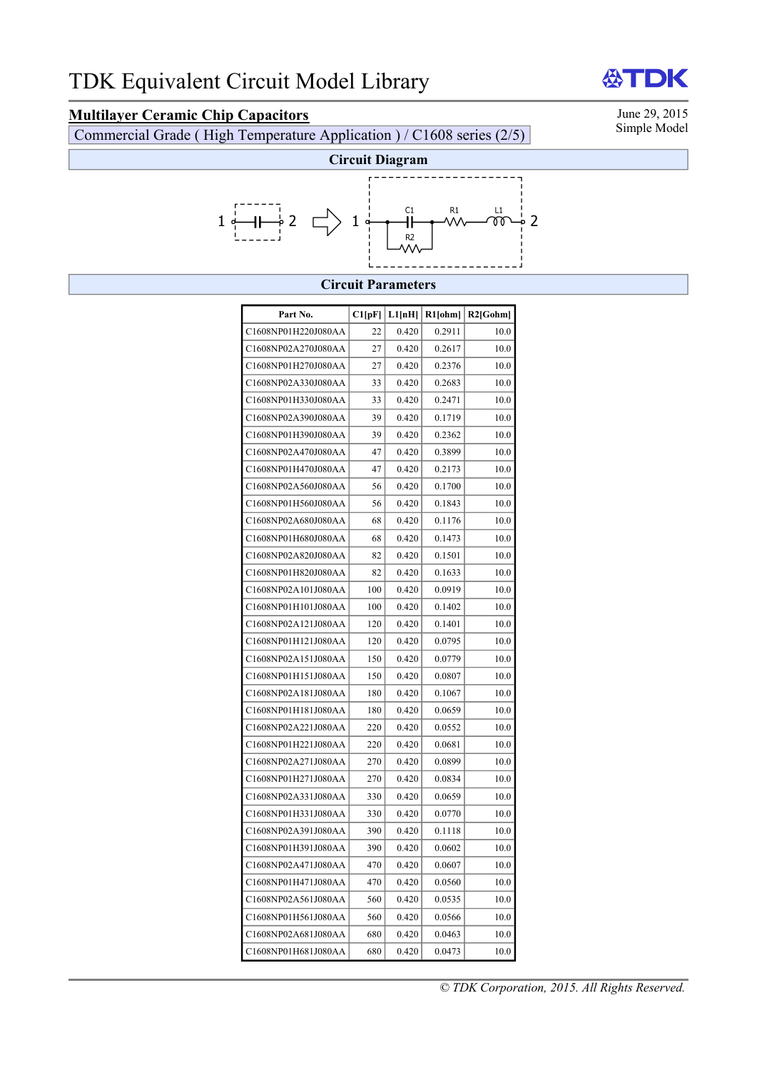# **Multilayer Ceramic Chip Capacitors** June 29, 2015<br>Commercial Grade (High Temperature Application) / C1608 series (2/5) Simple Model

Commercial Grade ( High Temperature Application ) / C1608 series ( $2/5$ )



### **Circuit Parameters**

| Part No.            | Cl[pF] | L1[nH] | R1[ohm] | $R2$ [Gohm] |
|---------------------|--------|--------|---------|-------------|
| C1608NP01H220J080AA | 22     | 0.420  | 0.2911  | 10.0        |
| C1608NP02A270J080AA | 27     | 0.420  | 0.2617  | 10.0        |
| C1608NP01H270J080AA | 27     | 0.420  | 0.2376  | 10.0        |
| C1608NP02A330J080AA | 33     | 0.420  | 0.2683  | 10.0        |
| C1608NP01H330J080AA | 33     | 0.420  | 0.2471  | 10.0        |
| C1608NP02A390J080AA | 39     | 0.420  | 0.1719  | 10.0        |
| C1608NP01H390J080AA | 39     | 0.420  | 0.2362  | 10.0        |
| C1608NP02A470J080AA | 47     | 0.420  | 0.3899  | 10.0        |
| C1608NP01H470J080AA | 47     | 0.420  | 0.2173  | 10.0        |
| C1608NP02A560J080AA | 56     | 0.420  | 0.1700  | 10.0        |
| C1608NP01H560J080AA | 56     | 0.420  | 0.1843  | 10.0        |
| C1608NP02A680J080AA | 68     | 0.420  | 0.1176  | 10.0        |
| C1608NP01H680J080AA | 68     | 0.420  | 0.1473  | 10.0        |
| C1608NP02A820J080AA | 82     | 0.420  | 0.1501  | 10.0        |
| C1608NP01H820J080AA | 82     | 0.420  | 0.1633  | 10.0        |
| C1608NP02A101J080AA | 100    | 0.420  | 0.0919  | 10.0        |
| C1608NP01H101J080AA | 100    | 0.420  | 0.1402  | 10.0        |
| C1608NP02A121J080AA | 120    | 0.420  | 0.1401  | 10.0        |
| C1608NP01H121J080AA | 120    | 0.420  | 0.0795  | 10.0        |
| C1608NP02A151J080AA | 150    | 0.420  | 0.0779  | 10.0        |
| C1608NP01H151J080AA | 150    | 0.420  | 0.0807  | 10.0        |
| C1608NP02A181J080AA | 180    | 0.420  | 0.1067  | 10.0        |
| C1608NP01H181J080AA | 180    | 0.420  | 0.0659  | 10.0        |
| C1608NP02A221J080AA | 220    | 0.420  | 0.0552  | 10.0        |
| C1608NP01H221J080AA | 220    | 0.420  | 0.0681  | 10.0        |
| C1608NP02A271J080AA | 270    | 0.420  | 0.0899  | 10.0        |
| C1608NP01H271J080AA | 270    | 0.420  | 0.0834  | 10.0        |
| C1608NP02A331J080AA | 330    | 0.420  | 0.0659  | 10.0        |
| C1608NP01H331J080AA | 330    | 0.420  | 0.0770  | 10.0        |
| C1608NP02A391J080AA | 390    | 0.420  | 0.1118  | 10.0        |
| C1608NP01H391J080AA | 390    | 0.420  | 0.0602  | 10.0        |
| C1608NP02A471J080AA | 470    | 0.420  | 0.0607  | 10.0        |
| C1608NP01H471J080AA | 470    | 0.420  | 0.0560  | 10.0        |
| C1608NP02A561J080AA | 560    | 0.420  | 0.0535  | 10.0        |
| C1608NP01H561J080AA | 560    | 0.420  | 0.0566  | 10.0        |
| C1608NP02A681J080AA | 680    | 0.420  | 0.0463  | 10.0        |
| C1608NP01H681J080AA | 680    | 0.420  | 0.0473  | 10.0        |

*© TDK Corporation, 2015. All Rights Reserved.* 

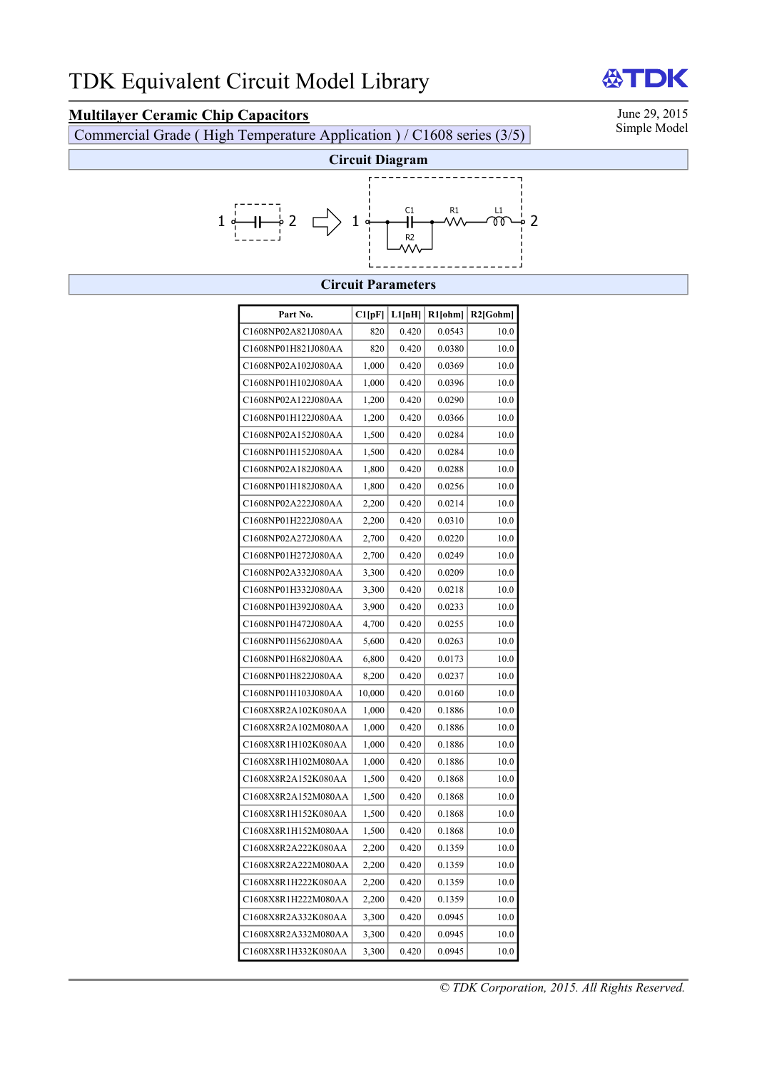# **Multilayer Ceramic Chip Capacitors** June 29, 2015<br>Commercial Grade (High Temperature Application) / C1608 series (3/5) Simple Model

Commercial Grade ( High Temperature Application ) / C1608 series (3/5)



### **Circuit Parameters**

| Part No.            | C1[pF] | L1[nH] | $R1$ [ohm] | $R2$ [Gohm] |
|---------------------|--------|--------|------------|-------------|
| C1608NP02A821J080AA | 820    | 0.420  | 0.0543     | 10.0        |
| C1608NP01H821J080AA | 820    | 0.420  | 0.0380     | 10.0        |
| C1608NP02A102J080AA | 1,000  | 0.420  | 0.0369     | 10.0        |
| C1608NP01H102J080AA | 1,000  | 0.420  | 0.0396     | 10.0        |
| C1608NP02A122J080AA | 1,200  | 0.420  | 0.0290     | 10.0        |
| C1608NP01H122J080AA | 1,200  | 0.420  | 0.0366     | 10.0        |
| C1608NP02A152J080AA | 1,500  | 0.420  | 0.0284     | 10.0        |
| C1608NP01H152J080AA | 1,500  | 0.420  | 0.0284     | 10.0        |
| C1608NP02A182J080AA | 1,800  | 0.420  | 0.0288     | 10.0        |
| C1608NP01H182J080AA | 1,800  | 0.420  | 0.0256     | 10.0        |
| C1608NP02A222J080AA | 2,200  | 0.420  | 0.0214     | 10.0        |
| C1608NP01H222J080AA | 2,200  | 0.420  | 0.0310     | 10.0        |
| C1608NP02A272J080AA | 2,700  | 0.420  | 0.0220     | 10.0        |
| C1608NP01H272J080AA | 2,700  | 0.420  | 0.0249     | 10.0        |
| C1608NP02A332J080AA | 3,300  | 0.420  | 0.0209     | 10.0        |
| C1608NP01H332J080AA | 3,300  | 0.420  | 0.0218     | 10.0        |
| C1608NP01H392J080AA | 3,900  | 0.420  | 0.0233     | 10.0        |
| C1608NP01H472J080AA | 4,700  | 0.420  | 0.0255     | 10.0        |
| C1608NP01H562J080AA | 5,600  | 0.420  | 0.0263     | 10.0        |
| C1608NP01H682J080AA | 6,800  | 0.420  | 0.0173     | 10.0        |
| C1608NP01H822J080AA | 8,200  | 0.420  | 0.0237     | 10.0        |
| C1608NP01H103J080AA | 10,000 | 0.420  | 0.0160     | 10.0        |
| C1608X8R2A102K080AA | 1,000  | 0.420  | 0.1886     | 10.0        |
| C1608X8R2A102M080AA | 1,000  | 0.420  | 0.1886     | 10.0        |
| C1608X8R1H102K080AA | 1,000  | 0.420  | 0.1886     | 10.0        |
| C1608X8R1H102M080AA | 1,000  | 0.420  | 0.1886     | 10.0        |
| C1608X8R2A152K080AA | 1,500  | 0.420  | 0.1868     | 10.0        |
| C1608X8R2A152M080AA | 1,500  | 0.420  | 0.1868     | 10.0        |
| C1608X8R1H152K080AA | 1,500  | 0.420  | 0.1868     | 10.0        |
| C1608X8R1H152M080AA | 1,500  | 0.420  | 0.1868     | 10.0        |
| C1608X8R2A222K080AA | 2,200  | 0.420  | 0.1359     | 10.0        |
| C1608X8R2A222M080AA | 2,200  | 0.420  | 0.1359     | 10.0        |
| C1608X8R1H222K080AA | 2,200  | 0.420  | 0.1359     | 10.0        |
| C1608X8R1H222M080AA | 2,200  | 0.420  | 0.1359     | 10.0        |
| C1608X8R2A332K080AA | 3,300  | 0.420  | 0.0945     | 10.0        |
| C1608X8R2A332M080AA | 3,300  | 0.420  | 0.0945     | 10.0        |
| C1608X8R1H332K080AA | 3,300  | 0.420  | 0.0945     | 10.0        |

*© TDK Corporation, 2015. All Rights Reserved.* 

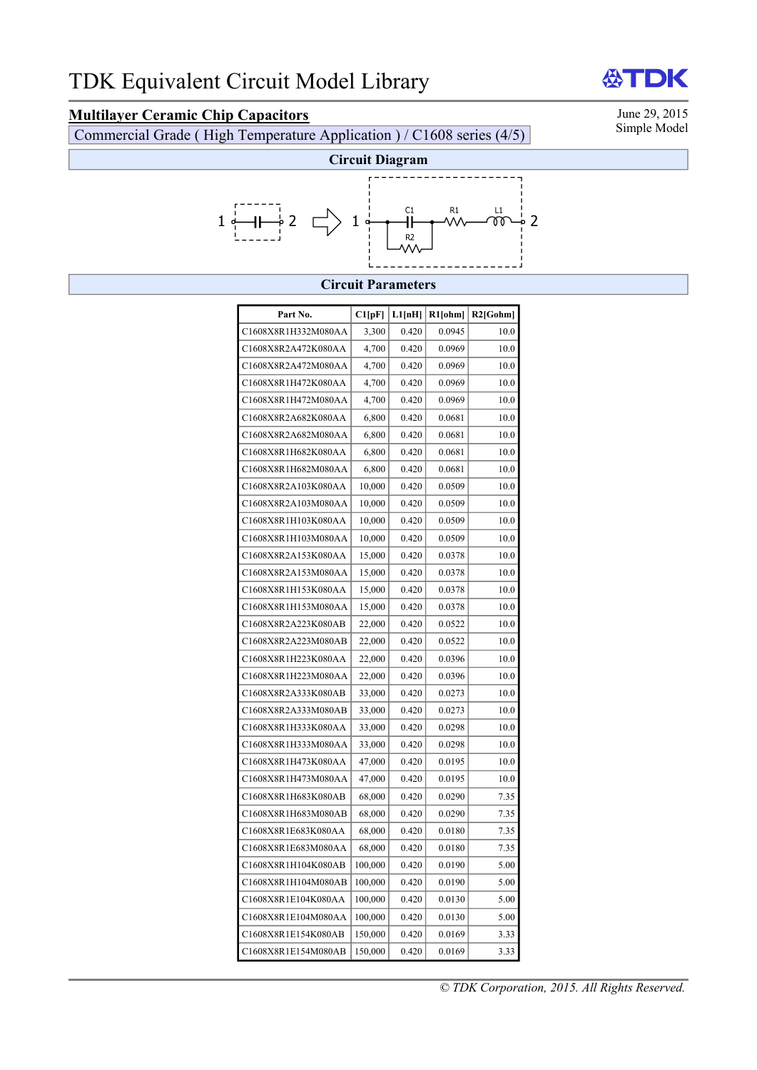# **Multilayer Ceramic Chip Capacitors** June 29, 2015<br>Commercial Grade (High Temperature Application) / C1608 series (4/5) Simple Model

Commercial Grade ( High Temperature Application ) / C1608 series (4/5)

DK



### **Circuit Parameters**

| Part No.            | Cl[pF]  | L1[nH] | $R1$ [ohm] | $R2$ [Gohm] |
|---------------------|---------|--------|------------|-------------|
| C1608X8R1H332M080AA | 3,300   | 0.420  | 0.0945     | 10.0        |
| C1608X8R2A472K080AA | 4,700   | 0.420  | 0.0969     | 10.0        |
| C1608X8R2A472M080AA | 4,700   | 0.420  | 0.0969     | 10.0        |
| C1608X8R1H472K080AA | 4,700   | 0.420  | 0.0969     | 10.0        |
| C1608X8R1H472M080AA | 4,700   | 0.420  | 0.0969     | 10.0        |
| C1608X8R2A682K080AA | 6,800   | 0.420  | 0.0681     | 10.0        |
| C1608X8R2A682M080AA | 6,800   | 0.420  | 0.0681     | 10.0        |
| C1608X8R1H682K080AA | 6,800   | 0.420  | 0.0681     | 10.0        |
| C1608X8R1H682M080AA | 6,800   | 0.420  | 0.0681     | 10.0        |
| C1608X8R2A103K080AA | 10,000  | 0.420  | 0.0509     | 10.0        |
| C1608X8R2A103M080AA | 10,000  | 0.420  | 0.0509     | 10.0        |
| C1608X8R1H103K080AA | 10,000  | 0.420  | 0.0509     | 10.0        |
| C1608X8R1H103M080AA | 10,000  | 0.420  | 0.0509     | 10.0        |
| C1608X8R2A153K080AA | 15,000  | 0.420  | 0.0378     | 10.0        |
| C1608X8R2A153M080AA | 15,000  | 0.420  | 0.0378     | 10.0        |
| C1608X8R1H153K080AA | 15,000  | 0.420  | 0.0378     | 10.0        |
| C1608X8R1H153M080AA | 15,000  | 0.420  | 0.0378     | 10.0        |
| C1608X8R2A223K080AB | 22,000  | 0.420  | 0.0522     | 10.0        |
| C1608X8R2A223M080AB | 22,000  | 0.420  | 0.0522     | 10.0        |
| C1608X8R1H223K080AA | 22,000  | 0.420  | 0.0396     | 10.0        |
| C1608X8R1H223M080AA | 22,000  | 0.420  | 0.0396     | 10.0        |
| C1608X8R2A333K080AB | 33,000  | 0.420  | 0.0273     | 10.0        |
| C1608X8R2A333M080AB | 33,000  | 0.420  | 0.0273     | 10.0        |
| C1608X8R1H333K080AA | 33,000  | 0.420  | 0.0298     | 10.0        |
| C1608X8R1H333M080AA | 33,000  | 0.420  | 0.0298     | 10.0        |
| C1608X8R1H473K080AA | 47,000  | 0.420  | 0.0195     | 10.0        |
| C1608X8R1H473M080AA | 47,000  | 0.420  | 0.0195     | 10.0        |
| C1608X8R1H683K080AB | 68,000  | 0.420  | 0.0290     | 7.35        |
| C1608X8R1H683M080AB | 68,000  | 0.420  | 0.0290     | 7.35        |
| C1608X8R1E683K080AA | 68,000  | 0.420  | 0.0180     | 7.35        |
| C1608X8R1E683M080AA | 68,000  | 0.420  | 0.0180     | 7.35        |
| C1608X8R1H104K080AB | 100,000 | 0.420  | 0.0190     | 5.00        |
| C1608X8R1H104M080AB | 100,000 | 0.420  | 0.0190     | 5.00        |
| C1608X8R1E104K080AA | 100,000 | 0.420  | 0.0130     | 5.00        |
| C1608X8R1E104M080AA | 100,000 | 0.420  | 0.0130     | 5.00        |
| C1608X8R1E154K080AB | 150,000 | 0.420  | 0.0169     | 3.33        |
| C1608X8R1E154M080AB | 150,000 | 0.420  | 0.0169     | 3.33        |

份